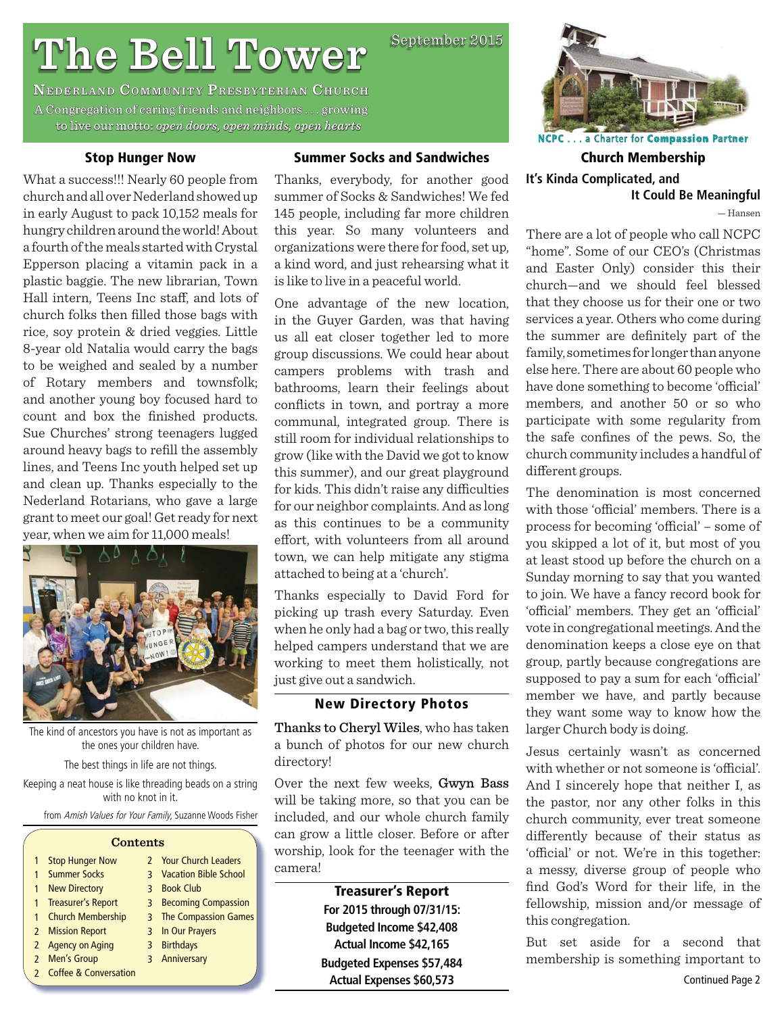**The Bell Tower Presex of all TowerP**<br> **A Congregation of caring friends and neighbors . . . growing a** to live our motto: open doors, open minds, open hearts

# **Stop Hunger Now**

**Summer Socks and Sandwiches**

September 2015

What a success!!! Nearly 60 people from church and all over Nederland showed up in early August to pack 10,152 meals for hungry children around the world! About a fourth of the meals started with Crystal Epperson placing a vitamin pack in a plastic baggie. The new librarian, Town Hall intern, Teens Inc staff, and lots of church folks then filled those bags with rice, soy protein & dried veggies. Little 8-year old Natalia would carry the bags to be weighed and sealed by a number of Rotary members and townsfolk; and another young boy focused hard to count and box the finished products. Sue Churches' strong teenagers lugged around heavy bags to refill the assembly lines, and Teens Inc youth helped set up and clean up. Thanks especially to the Nederland Rotarians, who gave a large grant to meet our goal! Get ready for next year, when we aim for 11,000 meals!



The kind of ancestors you have is not as important as the ones your children have.

The best things in life are not things.

Keeping a neat house is like threading beads on a string with no knot in it.

from Amish Values for Your Family, Suzanne Woods Fisher

| <b>Contents</b> |                         |  |                                |  |  |  |
|-----------------|-------------------------|--|--------------------------------|--|--|--|
|                 | <b>Stop Hunger Now</b>  |  | 2 Your Church Leaders          |  |  |  |
|                 | <b>Summer Socks</b>     |  | <b>3</b> Vacation Bible School |  |  |  |
| 1               | <b>New Directory</b>    |  | 3 Book Club                    |  |  |  |
|                 | 1 Treasurer's Report    |  | 3 Becoming Compassion          |  |  |  |
|                 | 1 Church Membership     |  | 3 The Compassion Games         |  |  |  |
|                 | 2 Mission Report        |  | 3 In Our Prayers               |  |  |  |
|                 | 2 Agency on Aging       |  | 3 Birthdays                    |  |  |  |
|                 | 2 Men's Group           |  | 3 Anniversary                  |  |  |  |
|                 | 2 Coffee & Conversation |  |                                |  |  |  |

Thanks, everybody, for another good summer of Socks & Sandwiches! We fed 145 people, including far more children this year. So many volunteers and organizations were there for food, set up, a kind word, and just rehearsing what it is like to live in a peaceful world.

One advantage of the new location, in the Guyer Garden, was that having us all eat closer together led to more group discussions. We could hear about campers problems with trash and bathrooms, learn their feelings about conflicts in town, and portray a more communal, integrated group. There is still room for individual relationships to grow (like with the David we got to know this summer), and our great playground for kids. This didn't raise any difficulties for our neighbor complaints. And as long as this continues to be a community effort, with volunteers from all around town, we can help mitigate any stigma attached to being at a 'church'.

Thanks especially to David Ford for picking up trash every Saturday. Even when he only had a bag or two, this really helped campers understand that we are working to meet them holistically, not just give out a sandwich.

# **New Directory Photos**

Thanks to Cheryl Wiles, who has taken a bunch of photos for our new church directory!

Over the next few weeks, Gwyn Bass will be taking more, so that you can be included, and our whole church family can grow a little closer. Before or after worship, look for the teenager with the camera!

> **Treasurer's Report For 2015 through 07/31/15: Budgeted Income \$42,408 Actual Income \$42,165 Budgeted Expenses \$57,484 Actual Expenses \$60,573**



**NCPC**. . . a Charter for **Compassion ompassionPartner**

**Church Membership It's Kinda Complicated, and It Could Be Meaningful**

— Hansen

There are a lot of people who call NCPC "home". Some of our CEO's (Christmas and Easter Only) consider this their church—and we should feel blessed that they choose us for their one or two services a year. Others who come during the summer are definitely part of the family, sometimes for longer than anyone else here. There are about 60 people who have done something to become 'official' members, and another 50 or so who participate with some regularity from the safe confines of the pews. So, the church community includes a handful of different groups.

The denomination is most concerned with those 'official' members. There is a process for becoming 'official' – some of you skipped a lot of it, but most of you at least stood up before the church on a Sunday morning to say that you wanted to join. We have a fancy record book for 'official' members. They get an 'official' vote in congregational meetings. And the denomination keeps a close eye on that group, partly because congregations are supposed to pay a sum for each 'official' member we have, and partly because they want some way to know how the larger Church body is doing.

Jesus certainly wasn't as concerned with whether or not someone is 'official'. And I sincerely hope that neither I, as the pastor, nor any other folks in this church community, ever treat someone differently because of their status as 'official' or not. We're in this together: a messy, diverse group of people who find God's Word for their life, in the fellowship, mission and/or message of this congregation.

But set aside for a second that membership is something important to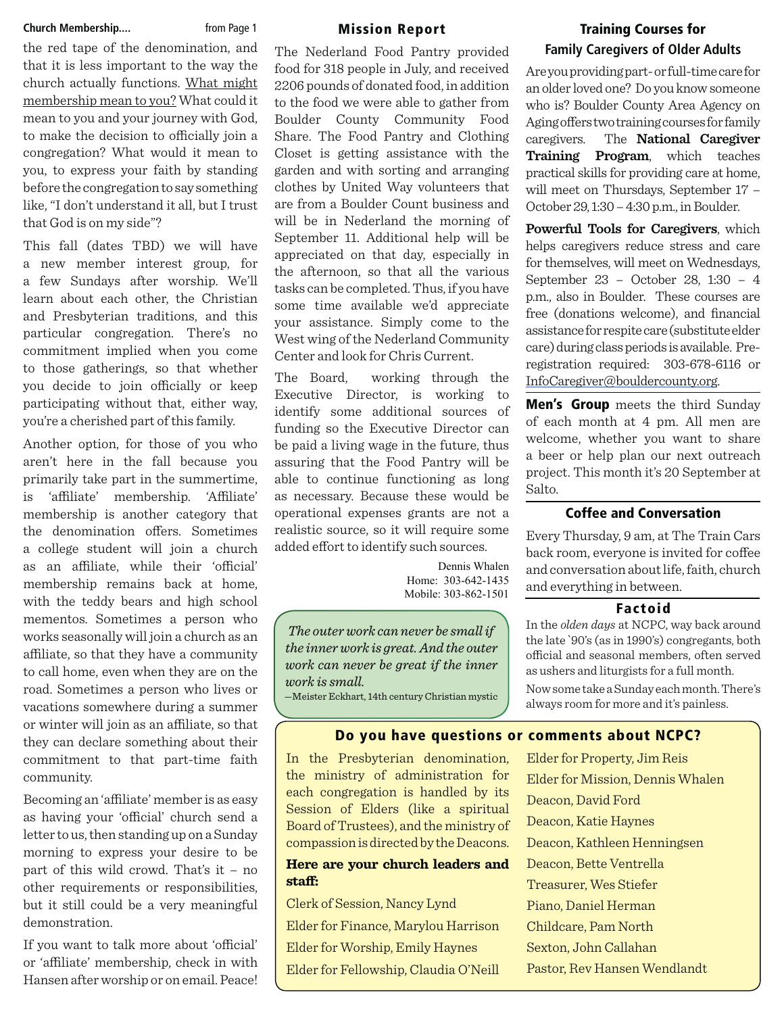#### **Church Membership.... https://** from Page 1

the red tape of the denomination, and that it is less important to the way the church actually functions. What might membership mean to you? What could it mean to you and your journey with God, to make the decision to officially join a congregation? What would it mean to you, to express your faith by standing before the congregation to say something like, "I don't understand it all, but I trust that God is on my side"?

This fall (dates TBD) we will have a new member interest group, for a few Sundays after worship. We'll learn about each other, the Christian and Presbyterian traditions, and this particular congregation. There's no commitment implied when you come to those gatherings, so that whether you decide to join officially or keep participating without that, either way, you're a cherished part of this family.

Another option, for those of you who aren't here in the fall because you primarily take part in the summertime, 'affiliate' membership. 'Affiliate' membership is another category that the denomination offers. Sometimes a college student will join a church as an affiliate, while their 'official' membership remains back at home, with the teddy bears and high school mementos. Sometimes a person who works seasonally will join a church as an affiliate, so that they have a community to call home, even when they are on the road. Sometimes a person who lives or vacations somewhere during a summer or winter will join as an affiliate, so that they can declare something about their commitment to that part-time faith community.

Becoming an 'affiliate' member is as easy as having your 'official' church send a letter to us, then standing up on a Sunday morning to express your desire to be part of this wild crowd. That's it – no other requirements or responsibilities, but it still could be a very meaningful demonstration.

If you want to talk more about 'official' or 'affiliate' membership, check in with Hansen after worship or on email. Peace!

#### **Mission Report**

The Nederland Food Pantry provided food for 318 people in July, and received 2206 pounds of donated food, in addition to the food we were able to gather from Boulder County Community Food Share. The Food Pantry and Clothing Closet is getting assistance with the garden and with sorting and arranging clothes by United Way volunteers that are from a Boulder Count business and will be in Nederland the morning of September 11. Additional help will be appreciated on that day, especially in the afternoon, so that all the various tasks can be completed. Thus, if you have some time available we'd appreciate your assistance. Simply come to the West wing of the Nederland Community Center and look for Chris Current.

The Board, working through the Executive Director, is working to identify some additional sources of funding so the Executive Director can be paid a living wage in the future, thus assuring that the Food Pantry will be able to continue functioning as long as necessary. Because these would be operational expenses grants are not a realistic source, so it will require some added effort to identify such sources.

> Dennis Whalen Home: 303-642-1435 Mobile: 303-862-1501

*The outer work can never be small if the inner work is great. And the outer work can never be great if the inner work is small.*

—Meister Eckhart, 14th century Christian mystic

# **Training Courses for Family Caregivers of Older Adults**

Are you providing part- or full-time care for an older loved one? Do you know someone who is? Boulder County Area Agency on Aging offers two training courses for family caregivers. The **National Caregiver Training Program**, which teaches practical skills for providing care at home, will meet on Thursdays, September 17 – October 29, 1:30 – 4:30 p.m., in Boulder.

**Powerful Tools for Caregivers**, which helps caregivers reduce stress and care for themselves, will meet on Wednesdays, September 23 – October 28, 1:30 – 4 p.m., also in Boulder. These courses are free (donations welcome), and financial assistance for respite care (substitute elder care) during class periods is available. Preregistration required: 303-678-6116 or InfoCaregiver@bouldercounty.org.

**Men's Group** meets the third Sunday of each month at 4 pm. All men are welcome, whether you want to share a beer or help plan our next outreach project. This month it's 20 September at Salto.

# **Coffee and Conversation**

Every Thursday, 9 am, at The Train Cars back room, everyone is invited for coffee and conversation about life, faith, church and everything in between.

#### **Factoid**

In the *olden days* at NCPC, way back around the late `90's (as in 1990's) congregants, both official and seasonal members, often served as ushers and liturgists for a full month. Now some take a Sunday each month. There's always room for more and it's painless.

# **Do you have questions or comments about NCPC?**

In the Presbyterian denomination, the ministry of administration for each congregation is handled by its Session of Elders (like a spiritual Board of Trustees), and the ministry of compassion is directed by the Deacons.

# **Here are your church leaders and**  staff:

Clerk of Session, Nancy Lynd Elder for Finance, Marylou Harrison Elder for Worship, Emily Haynes Elder for Fellowship, Claudia O'Neill

Elder for Property, Jim Reis Elder for Mission, Dennis Whalen Deacon, David Ford Deacon, Katie Haynes Deacon, Kathleen Henningsen Deacon, Bette Ventrella Treasurer, Wes Stiefer Piano, Daniel Herman Childcare, Pam North Sexton, John Callahan Pastor, Rev Hansen Wendlandt